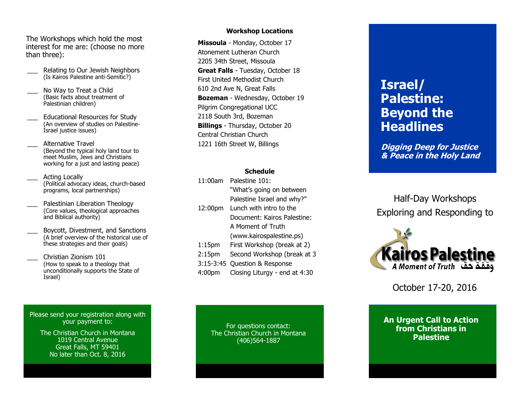The Workshops which hold the most interest for me are: (choose no more than three):

- Relating to Our Jewish Neighbors (Is Kairos Palestine anti -Semitic?)
- No Way to Treat a Child (Basic facts about treatment of Palestinian children)
- Educational Resources for Study (An overview of studies on Palestine - Israel justice issues)
- \_\_\_ Alternative Travel (Beyond the typical holy land tour to meet Muslim, Jews and Christians working for a just and lasting peace)
- Acting Locally (Political advocacy ideas, church -based programs, local partnerships)
- Palestinian Liberation Theology (Core values, theological approaches and Biblical authority)
- \_\_\_ Boycott, Divestment, and Sanctions (A brief overview of the historical use of these strategies and their goals)
	- \_\_\_ Christian Zionism 101 (How to speak to a theology that unconditionally supports the State of Israel)

Please send your registration along with your payment to:

> The Christian Church in Montana 1019 Central Avenue Great Falls, MT 59401 No later than Oct. 8, 2016

# **Workshop Locations**

**Missoula** - Monday, October 17 Atonement Lutheran Church 2205 34th Street, Missoula **Great Falls** - Tuesday, October 18 First United Methodist Church 610 2nd Ave N, Great Falls **Bozeman**  - Wednesday, October 19 Pilgrim Congregational UCC 2118 South 3rd, Bozeman **Billings**  - Thursday, October 20 Central Christian Church 1221 16th Street W, Billings

### **Schedule**

| 11:00am            | Palestine 101:                |
|--------------------|-------------------------------|
|                    | "What's going on between      |
|                    | Palestine Israel and why?"    |
| 12:00pm            | Lunch with intro to the       |
|                    | Document: Kairos Palestine:   |
|                    | A Moment of Truth             |
|                    | (www.kairospalestine.ps)      |
| $1:15$ pm          | First Workshop (break at 2)   |
| 2:15 <sub>pm</sub> | Second Workshop (break at 3   |
| $3:15-3:45$        | Question & Response           |
| 4:00               | Closing Liturgy - end at 4:30 |
|                    |                               |

For questions contact: The Christian Church in Montana (406)564 -1887

# **Israel/ Palestine: Beyond the Headlines**

**Digging Deep for Justice & Peace in the Holy Land**

Half -Day Workshops Exploring and Responding to



October 17 -20, 2016

**An Urgent Call to Action from Christians in Palestine**